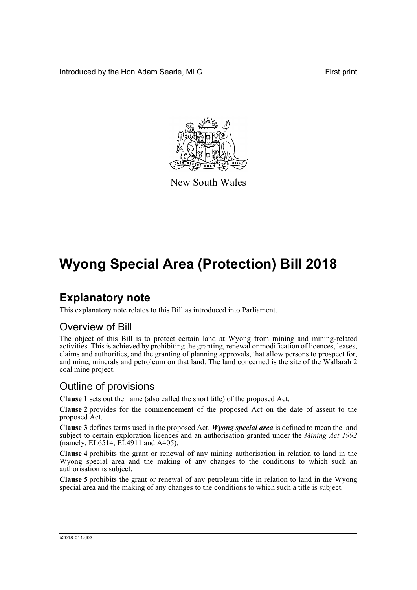Introduced by the Hon Adam Searle, MLC **First print** 



New South Wales

# **Wyong Special Area (Protection) Bill 2018**

## **Explanatory note**

This explanatory note relates to this Bill as introduced into Parliament.

## Overview of Bill

The object of this Bill is to protect certain land at Wyong from mining and mining-related activities. This is achieved by prohibiting the granting, renewal or modification of licences, leases, claims and authorities, and the granting of planning approvals, that allow persons to prospect for, and mine, minerals and petroleum on that land. The land concerned is the site of the Wallarah 2 coal mine project.

## Outline of provisions

**Clause 1** sets out the name (also called the short title) of the proposed Act.

**Clause 2** provides for the commencement of the proposed Act on the date of assent to the proposed Act.

**Clause 3** defines terms used in the proposed Act. *Wyong special area* is defined to mean the land subject to certain exploration licences and an authorisation granted under the *Mining Act 1992* (namely, EL6514, EL4911 and A405).

**Clause 4** prohibits the grant or renewal of any mining authorisation in relation to land in the Wyong special area and the making of any changes to the conditions to which such an authorisation is subject.

**Clause 5** prohibits the grant or renewal of any petroleum title in relation to land in the Wyong special area and the making of any changes to the conditions to which such a title is subject.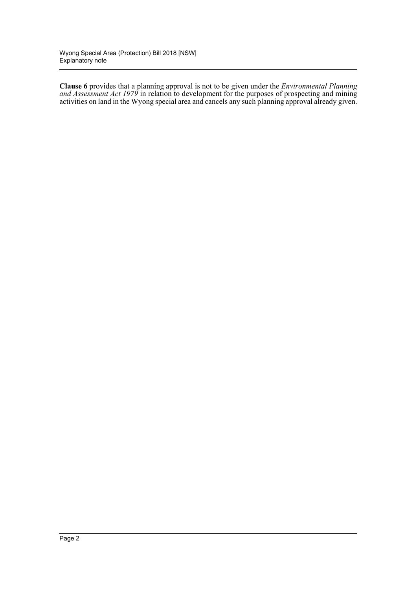**Clause 6** provides that a planning approval is not to be given under the *Environmental Planning and Assessment Act 1979* in relation to development for the purposes of prospecting and mining activities on land in the Wyong special area and cancels any such planning approval already given.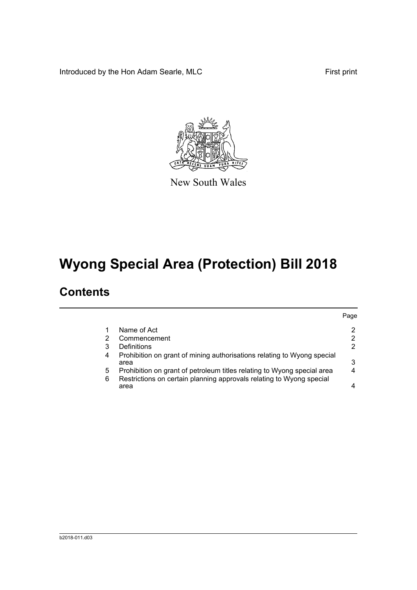Introduced by the Hon Adam Searle, MLC First print



New South Wales

# **Wyong Special Area (Protection) Bill 2018**

## **Contents**

|   |                                                                                 | Paqe |
|---|---------------------------------------------------------------------------------|------|
|   | Name of Act                                                                     | 2    |
|   | Commencement                                                                    |      |
| 3 | Definitions                                                                     |      |
| 4 | Prohibition on grant of mining authorisations relating to Wyong special<br>area | 3    |
| 5 | Prohibition on grant of petroleum titles relating to Wyong special area         |      |
| 6 | Restrictions on certain planning approvals relating to Wyong special<br>area    |      |
|   |                                                                                 |      |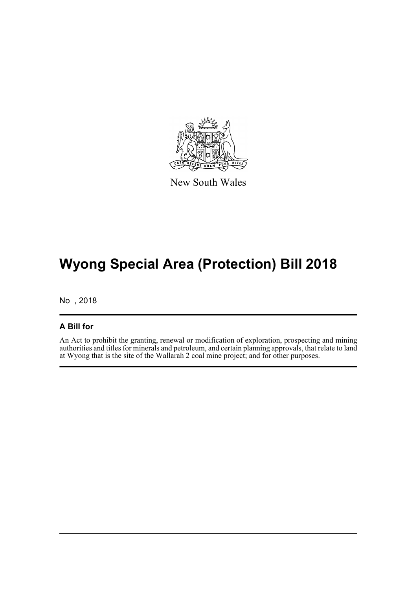

New South Wales

## **Wyong Special Area (Protection) Bill 2018**

No , 2018

### **A Bill for**

An Act to prohibit the granting, renewal or modification of exploration, prospecting and mining authorities and titles for minerals and petroleum, and certain planning approvals, that relate to land at Wyong that is the site of the Wallarah 2 coal mine project; and for other purposes.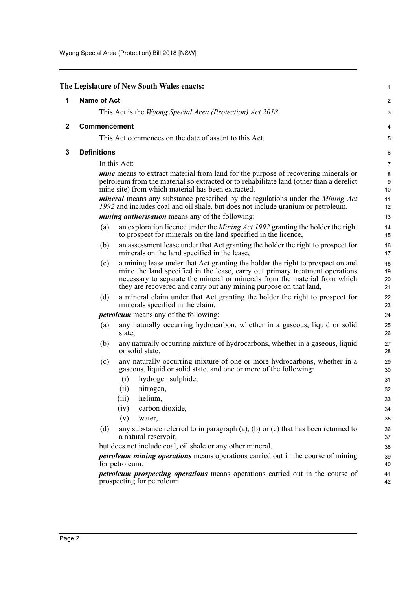<span id="page-4-2"></span><span id="page-4-1"></span><span id="page-4-0"></span>

|              | The Legislature of New South Wales enacts:                                                                                                                                                                                                                                                                               | 1                     |
|--------------|--------------------------------------------------------------------------------------------------------------------------------------------------------------------------------------------------------------------------------------------------------------------------------------------------------------------------|-----------------------|
| 1            | <b>Name of Act</b>                                                                                                                                                                                                                                                                                                       | 2                     |
|              | This Act is the <i>Wyong Special Area (Protection) Act 2018</i> .                                                                                                                                                                                                                                                        | 3                     |
| $\mathbf{2}$ | Commencement                                                                                                                                                                                                                                                                                                             | 4                     |
|              | This Act commences on the date of assent to this Act.                                                                                                                                                                                                                                                                    | 5                     |
| 3            | <b>Definitions</b>                                                                                                                                                                                                                                                                                                       | 6                     |
|              | In this Act:                                                                                                                                                                                                                                                                                                             | $\overline{7}$        |
|              | <i>mine</i> means to extract material from land for the purpose of recovering minerals or<br>petroleum from the material so extracted or to rehabilitate land (other than a derelict                                                                                                                                     | 8<br>$\boldsymbol{9}$ |
|              | mine site) from which material has been extracted.                                                                                                                                                                                                                                                                       | 10                    |
|              | mineral means any substance prescribed by the regulations under the Mining Act<br>1992 and includes coal and oil shale, but does not include uranium or petroleum.                                                                                                                                                       | 11<br>12              |
|              | <i>mining authorisation</i> means any of the following:                                                                                                                                                                                                                                                                  | 13                    |
|              | an exploration licence under the <i>Mining Act 1992</i> granting the holder the right<br>(a)<br>to prospect for minerals on the land specified in the licence,                                                                                                                                                           | 14<br>15              |
|              | an assessment lease under that Act granting the holder the right to prospect for<br>(b)<br>minerals on the land specified in the lease,                                                                                                                                                                                  | 16<br>17              |
|              | a mining lease under that Act granting the holder the right to prospect on and<br>(c)<br>mine the land specified in the lease, carry out primary treatment operations<br>necessary to separate the mineral or minerals from the material from which<br>they are recovered and carry out any mining purpose on that land, | 18<br>19<br>20<br>21  |
|              | (d)<br>a mineral claim under that Act granting the holder the right to prospect for<br>minerals specified in the claim.                                                                                                                                                                                                  | 22<br>23              |
|              | <i>petroleum</i> means any of the following:                                                                                                                                                                                                                                                                             | 24                    |
|              | any naturally occurring hydrocarbon, whether in a gaseous, liquid or solid<br>(a)<br>state,                                                                                                                                                                                                                              | 25<br>26              |
|              | any naturally occurring mixture of hydrocarbons, whether in a gaseous, liquid<br>(b)<br>or solid state,                                                                                                                                                                                                                  | 27<br>28              |
|              | any naturally occurring mixture of one or more hydrocarbons, whether in a<br>(c)<br>gaseous, liquid or solid state, and one or more of the following:                                                                                                                                                                    | 29<br>30              |
|              | hydrogen sulphide,<br>(i)<br>(ii)<br>nitrogen,                                                                                                                                                                                                                                                                           | 31<br>32              |
|              | (iii)<br>helium,                                                                                                                                                                                                                                                                                                         | 33                    |
|              | carbon dioxide,<br>(iv)                                                                                                                                                                                                                                                                                                  | 34                    |
|              | (v)<br>water,                                                                                                                                                                                                                                                                                                            | 35                    |
|              | any substance referred to in paragraph $(a)$ , $(b)$ or $(c)$ that has been returned to<br>(d)<br>a natural reservoir,                                                                                                                                                                                                   | 36<br>37              |
|              | but does not include coal, oil shale or any other mineral.                                                                                                                                                                                                                                                               | 38                    |
|              | <i>petroleum mining operations</i> means operations carried out in the course of mining<br>for petroleum.                                                                                                                                                                                                                | 39<br>40              |
|              | <i>petroleum prospecting operations</i> means operations carried out in the course of<br>prospecting for petroleum.                                                                                                                                                                                                      | 41<br>42              |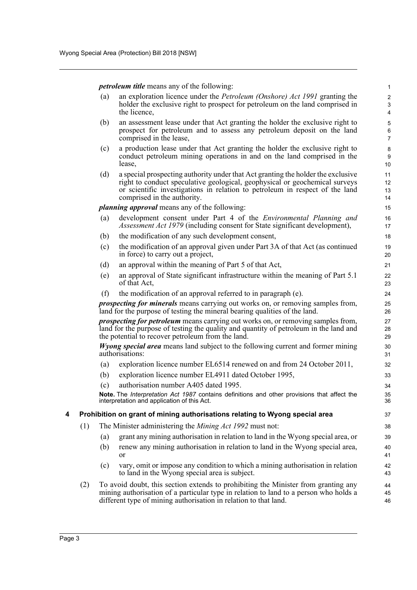*petroleum title* means any of the following:

(a) an exploration licence under the *Petroleum (Onshore) Act 1991* granting the holder the exclusive right to prospect for petroleum on the land comprised in the licence,

- (b) an assessment lease under that Act granting the holder the exclusive right to prospect for petroleum and to assess any petroleum deposit on the land comprised in the lease,
- (c) a production lease under that Act granting the holder the exclusive right to conduct petroleum mining operations in and on the land comprised in the lease,
- (d) a special prospecting authority under that Act granting the holder the exclusive right to conduct speculative geological, geophysical or geochemical surveys or scientific investigations in relation to petroleum in respect of the land comprised in the authority.

*planning approval* means any of the following:

- (a) development consent under Part 4 of the *Environmental Planning and Assessment Act 1979* (including consent for State significant development),
- (b) the modification of any such development consent,
- (c) the modification of an approval given under Part 3A of that Act (as continued in force) to carry out a project,
- (d) an approval within the meaning of Part 5 of that Act,
- (e) an approval of State significant infrastructure within the meaning of Part 5.1 of that Act,
- (f) the modification of an approval referred to in paragraph (e).

*prospecting for minerals* means carrying out works on, or removing samples from, land for the purpose of testing the mineral bearing qualities of the land.

*prospecting for petroleum* means carrying out works on, or removing samples from, land for the purpose of testing the quality and quantity of petroleum in the land and the potential to recover petroleum from the land.

*Wyong special area* means land subject to the following current and former mining authorisations:

- (a) exploration licence number EL6514 renewed on and from 24 October 2011,
- (b) exploration licence number EL4911 dated October 1995,
- (c) authorisation number A405 dated 1995.

**Note.** The *Interpretation Act 1987* contains definitions and other provisions that affect the interpretation and application of this Act.

#### <span id="page-5-0"></span>**4 Prohibition on grant of mining authorisations relating to Wyong special area**

- (1) The Minister administering the *Mining Act 1992* must not:
	- (a) grant any mining authorisation in relation to land in the Wyong special area, or
	- (b) renew any mining authorisation in relation to land in the Wyong special area, or
	- (c) vary, omit or impose any condition to which a mining authorisation in relation to land in the Wyong special area is subject.
- (2) To avoid doubt, this section extends to prohibiting the Minister from granting any mining authorisation of a particular type in relation to land to a person who holds a different type of mining authorisation in relation to that land.